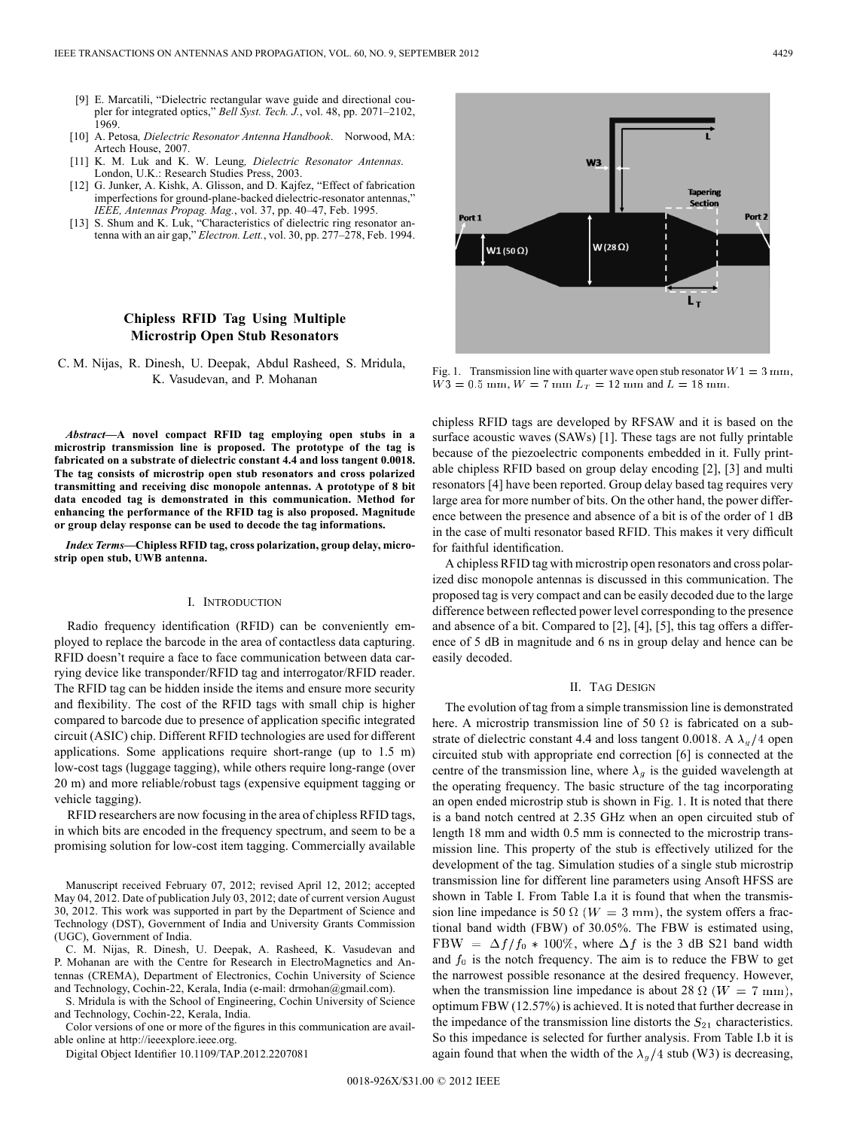- [9] E. Marcatili, "Dielectric rectangular wave guide and directional coupler for integrated optics," *Bell Syst. Tech. J.*, vol. 48, pp. 2071–2102, 1969.
- [10] A. Petosa*, Dielectric Resonator Antenna Handbook*. Norwood, MA: Artech House, 2007.
- [11] K. M. Luk and K. W. Leung*, Dielectric Resonator Antennas*. London, U.K.: Research Studies Press, 2003.
- [12] G. Junker, A. Kishk, A. Glisson, and D. Kajfez, "Effect of fabrication imperfections for ground-plane-backed dielectric-resonator antennas,' *IEEE, Antennas Propag. Mag.*, vol. 37, pp. 40–47, Feb. 1995.
- [13] S. Shum and K. Luk, "Characteristics of dielectric ring resonator antenna with an air gap," *Electron. Lett.*, vol. 30, pp. 277–278, Feb. 1994.

## **Chipless RFID Tag Using Multiple Microstrip Open Stub Resonators**

C. M. Nijas, R. Dinesh, U. Deepak, Abdul Rasheed, S. Mridula, K. Vasudevan, and P. Mohanan

*Abstract—***A novel compact RFID tag employing open stubs in a microstrip transmission line is proposed. The prototype of the tag is fabricated on a substrate of dielectric constant 4.4 and loss tangent 0.0018. The tag consists of microstrip open stub resonators and cross polarized transmitting and receiving disc monopole antennas. A prototype of 8 bit data encoded tag is demonstrated in this communication. Method for enhancing the performance of the RFID tag is also proposed. Magnitude or group delay response can be used to decode the tag informations.**

*Index Terms—***Chipless RFID tag, cross polarization, group delay, microstrip open stub, UWB antenna.**

## I. INTRODUCTION

Radio frequency identification (RFID) can be conveniently employed to replace the barcode in the area of contactless data capturing. RFID doesn't require a face to face communication between data carrying device like transponder/RFID tag and interrogator/RFID reader. The RFID tag can be hidden inside the items and ensure more security and flexibility. The cost of the RFID tags with small chip is higher compared to barcode due to presence of application specific integrated circuit (ASIC) chip. Different RFID technologies are used for different applications. Some applications require short-range (up to 1.5 m) low-cost tags (luggage tagging), while others require long-range (over 20 m) and more reliable/robust tags (expensive equipment tagging or vehicle tagging).

RFID researchers are now focusing in the area of chipless RFID tags, in which bits are encoded in the frequency spectrum, and seem to be a promising solution for low-cost item tagging. Commercially available

Manuscript received February 07, 2012; revised April 12, 2012; accepted May 04, 2012. Date of publication July 03, 2012; date of current version August 30, 2012. This work was supported in part by the Department of Science and Technology (DST), Government of India and University Grants Commission (UGC), Government of India.

C. M. Nijas, R. Dinesh, U. Deepak, A. Rasheed, K. Vasudevan and P. Mohanan are with the Centre for Research in ElectroMagnetics and Antennas (CREMA), Department of Electronics, Cochin University of Science and Technology, Cochin-22, Kerala, India (e-mail: drmohan@gmail.com).

S. Mridula is with the School of Engineering, Cochin University of Science and Technology, Cochin-22, Kerala, India.

Color versions of one or more of the figures in this communication are available online at http://ieeexplore.ieee.org.

Digital Object Identifier 10.1109/TAP.2012.2207081



Fig. 1. Transmission line with quarter wave open stub resonator  $W1 = 3 \text{ mm}$ ,  $W3 = 0.5$  mm,  $W = 7$  mm  $L_T = 12$  mm and  $L = 18$  mm.

chipless RFID tags are developed by RFSAW and it is based on the surface acoustic waves (SAWs) [1]. These tags are not fully printable because of the piezoelectric components embedded in it. Fully printable chipless RFID based on group delay encoding [2], [3] and multi resonators [4] have been reported. Group delay based tag requires very large area for more number of bits. On the other hand, the power difference between the presence and absence of a bit is of the order of 1 dB in the case of multi resonator based RFID. This makes it very difficult for faithful identification.

A chipless RFID tag with microstrip open resonators and cross polarized disc monopole antennas is discussed in this communication. The proposed tag is very compact and can be easily decoded due to the large difference between reflected power level corresponding to the presence and absence of a bit. Compared to [2], [4], [5], this tag offers a difference of 5 dB in magnitude and 6 ns in group delay and hence can be easily decoded.

## II. TAG DESIGN

The evolution of tag from a simple transmission line is demonstrated here. A microstrip transmission line of 50  $\Omega$  is fabricated on a substrate of dielectric constant 4.4 and loss tangent 0.0018. A  $\lambda_g/4$  open circuited stub with appropriate end correction [6] is connected at the centre of the transmission line, where  $\lambda_g$  is the guided wavelength at the operating frequency. The basic structure of the tag incorporating an open ended microstrip stub is shown in Fig. 1. It is noted that there is a band notch centred at 2.35 GHz when an open circuited stub of length 18 mm and width 0.5 mm is connected to the microstrip transmission line. This property of the stub is effectively utilized for the development of the tag. Simulation studies of a single stub microstrip transmission line for different line parameters using Ansoft HFSS are shown in Table I. From Table I.a it is found that when the transmission line impedance is 50  $\Omega$  ( $W = 3$  mm), the system offers a fractional band width (FBW) of 30.05%. The FBW is estimated using, FBW =  $\Delta f/f_0$  \* 100%, where  $\Delta f$  is the 3 dB S21 band width and  $f_0$  is the notch frequency. The aim is to reduce the FBW to get the narrowest possible resonance at the desired frequency. However, when the transmission line impedance is about 28  $\Omega$  ( $W = 7$  mm), optimum FBW (12.57%) is achieved. It is noted that further decrease in the impedance of the transmission line distorts the  $S_{21}$  characteristics. So this impedance is selected for further analysis. From Table I.b it is again found that when the width of the  $\lambda_g/4$  stub (W3) is decreasing,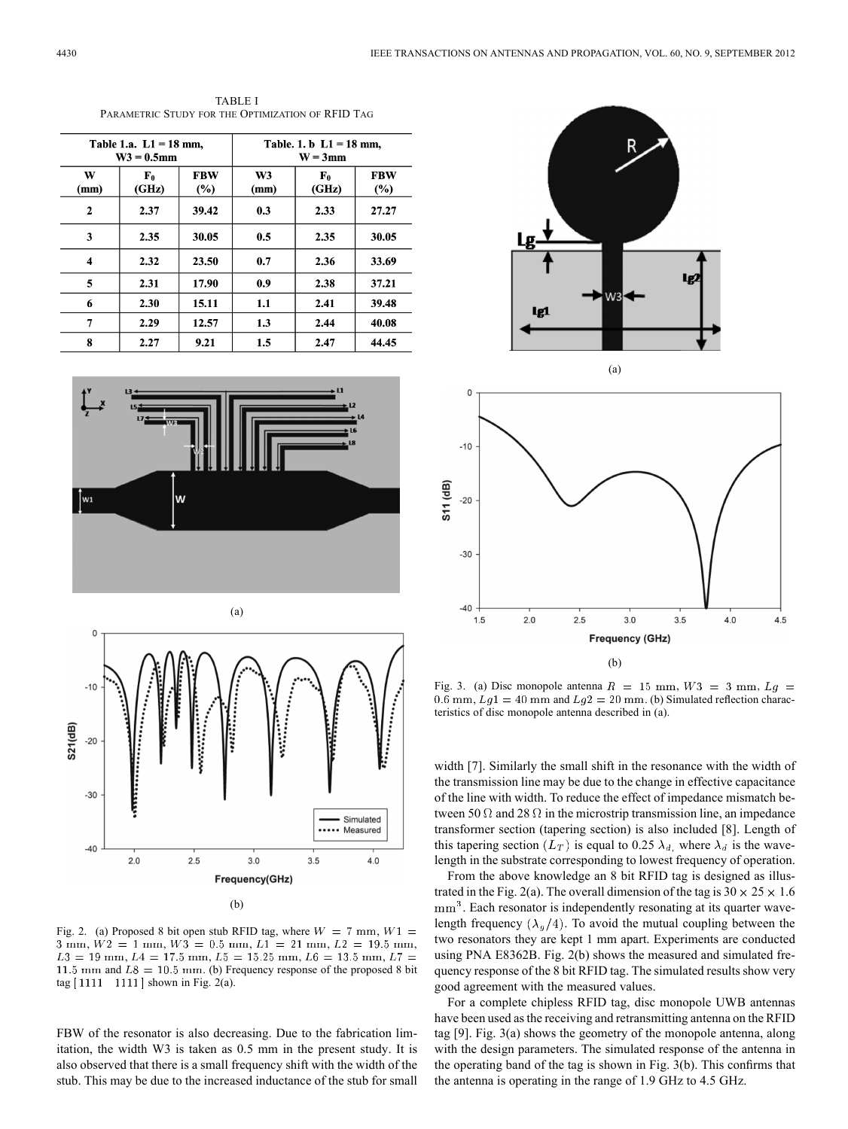| Table 1.a. $L1 = 18$ mm,<br>$W3 = 0.5$ mm |                      |                      | Table. 1. b $L1 = 18$ mm,<br>$W = 3$ mm |                      |                   |
|-------------------------------------------|----------------------|----------------------|-----------------------------------------|----------------------|-------------------|
| W<br>(mm)                                 | ${\bf F_0}$<br>(GHz) | <b>FBW</b><br>$(\%)$ | W <sub>3</sub><br>(mm)                  | ${\bf F_0}$<br>(GHz) | <b>FBW</b><br>(%) |
| $\mathbf{2}$                              | 2.37                 | 39.42                | 0.3                                     | 2.33                 | 27.27             |
| 3                                         | 2.35                 | 30.05                | 0.5                                     | 2.35                 | 30.05             |
| 4                                         | 2.32                 | 23.50                | 0.7                                     | 2.36                 | 33.69             |
| 5                                         | 2.31                 | 17.90                | 0.9                                     | 2.38                 | 37.21             |
| 6                                         | 2.30                 | 15.11                | 1.1                                     | 2.41                 | 39.48             |
| 7                                         | 2.29                 | 12.57                | 1.3                                     | 2.44                 | 40.08             |
| 8                                         | 2.27                 | 9.21                 | 1.5                                     | 2.47                 | 44.45             |

TABLE I PARAMETRIC STUDY FOR THE OPTIMIZATION OF RFID TAG





Simulated \*\*\*\*\* Measured

 $4.0$ 

 $3.5$ 

Fig. 3. (a) Disc monopole antenna  $R = 15$  mm,  $W3 = 3$  mm,  $Lg =$ 0.6 mm,  $Lg1 = 40$  mm and  $Lg2 = 20$  mm. (b) Simulated reflection characteristics of disc monopole antenna described in (a).

(b)

 $3.0$ 

**Frequency (GHz)** 

 $3.5$ 

 $4.0$ 

4.5

 $2.5$ 

width [7]. Similarly the small shift in the resonance with the width of the transmission line may be due to the change in effective capacitance of the line with width. To reduce the effect of impedance mismatch between 50  $\Omega$  and 28  $\Omega$  in the microstrip transmission line, an impedance transformer section (tapering section) is also included [8]. Length of this tapering section  $(L_T)$  is equal to 0.25  $\lambda_d$ , where  $\lambda_d$  is the wavelength in the substrate corresponding to lowest frequency of operation.

From the above knowledge an 8 bit RFID tag is designed as illustrated in the Fig. 2(a). The overall dimension of the tag is  $30 \times 25 \times 1.6$  $mm<sup>3</sup>$ . Each resonator is independently resonating at its quarter wavelength frequency  $(\lambda_g/4)$ . To avoid the mutual coupling between the two resonators they are kept 1 mm apart. Experiments are conducted using PNA E8362B. Fig. 2(b) shows the measured and simulated frequency response of the 8 bit RFID tag. The simulated results show very good agreement with the measured values.

For a complete chipless RFID tag, disc monopole UWB antennas have been used as the receiving and retransmitting antenna on the RFID tag [9]. Fig. 3(a) shows the geometry of the monopole antenna, along with the design parameters. The simulated response of the antenna in the operating band of the tag is shown in Fig. 3(b). This confirms that the antenna is operating in the range of 1.9 GHz to 4.5 GHz.



 $-40$  $1.5$ 

 $2.0$ 

 $-40$ 

 $2.0$ 



Fig. 2. (a) Proposed 8 bit open stub RFID tag, where  $W = 7$  mm,  $W1 =$  $3 \text{ mm}, W2 = 1 \text{ mm}, W3 = 0.5 \text{ mm}, L1 = 21 \text{ mm}, L2 = 19.5 \text{ mm},$  $L3 = 19$  mm,  $L4 = 17.5$  mm,  $L5 = 15.25$  mm,  $L6 = 13.5$  mm,  $L7 =$ 11.5 mm and  $L8 = 10.5$  mm. (b) Frequency response of the proposed 8 bit  $tag [1111 1111] shown in Fig. 2(a).$ 

(b)

 $3.0$ 

Frequency(GHz)

 $2.5$ 

FBW of the resonator is also decreasing. Due to the fabrication limitation, the width W3 is taken as 0.5 mm in the present study. It is also observed that there is a small frequency shift with the width of the stub. This may be due to the increased inductance of the stub for small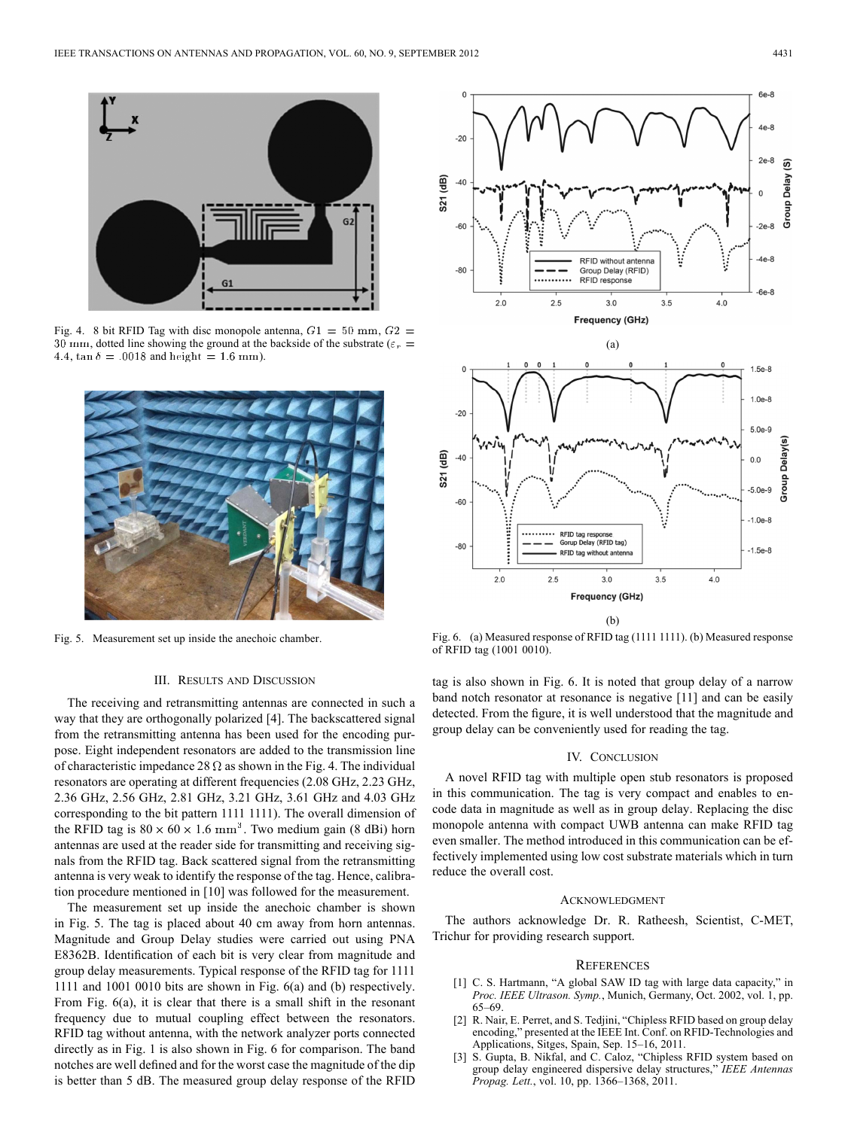

Fig. 4. 8 bit RFID Tag with disc monopole antenna,  $G1 = 50$  mm,  $G2 =$ 30 mm, dotted line showing the ground at the backside of the substrate ( $\varepsilon_r$  = 4.4,  $\tan \delta = .0018$  and height = 1.6 mm).



Fig. 5. Measurement set up inside the anechoic chamber.

## III. RESULTS AND DISCUSSION

The receiving and retransmitting antennas are connected in such a way that they are orthogonally polarized [4]. The backscattered signal from the retransmitting antenna has been used for the encoding purpose. Eight independent resonators are added to the transmission line of characteristic impedance 28  $\Omega$  as shown in the Fig. 4. The individual resonators are operating at different frequencies (2.08 GHz, 2.23 GHz, 2.36 GHz, 2.56 GHz, 2.81 GHz, 3.21 GHz, 3.61 GHz and 4.03 GHz corresponding to the bit pattern 1111 1111). The overall dimension of the RFID tag is  $80 \times 60 \times 1.6$  mm<sup>3</sup>. Two medium gain (8 dBi) horn antennas are used at the reader side for transmitting and receiving signals from the RFID tag. Back scattered signal from the retransmitting antenna is very weak to identify the response of the tag. Hence, calibration procedure mentioned in [10] was followed for the measurement.

The measurement set up inside the anechoic chamber is shown in Fig. 5. The tag is placed about 40 cm away from horn antennas. Magnitude and Group Delay studies were carried out using PNA E8362B. Identification of each bit is very clear from magnitude and group delay measurements. Typical response of the RFID tag for 1111 1111 and 1001 0010 bits are shown in Fig. 6(a) and (b) respectively. From Fig. 6(a), it is clear that there is a small shift in the resonant frequency due to mutual coupling effect between the resonators. RFID tag without antenna, with the network analyzer ports connected directly as in Fig. 1 is also shown in Fig. 6 for comparison. The band notches are well defined and for the worst case the magnitude of the dip is better than 5 dB. The measured group delay response of the RFID



**Frequency (GHz)** (b)

Fig. 6. (a) Measured response of RFID tag (1111 1111). (b) Measured response of RFID tag (1001 0010).

tag is also shown in Fig. 6. It is noted that group delay of a narrow band notch resonator at resonance is negative [11] and can be easily detected. From the figure, it is well understood that the magnitude and group delay can be conveniently used for reading the tag.

#### IV. CONCLUSION

A novel RFID tag with multiple open stub resonators is proposed in this communication. The tag is very compact and enables to encode data in magnitude as well as in group delay. Replacing the disc monopole antenna with compact UWB antenna can make RFID tag even smaller. The method introduced in this communication can be effectively implemented using low cost substrate materials which in turn reduce the overall cost.

#### ACKNOWLEDGMENT

The authors acknowledge Dr. R. Ratheesh, Scientist, C-MET, Trichur for providing research support.

### **REFERENCES**

- [1] C. S. Hartmann, "A global SAW ID tag with large data capacity," in *Proc. IEEE Ultrason. Symp.*, Munich, Germany, Oct. 2002, vol. 1, pp. 65–69.
- [2] R. Nair, E. Perret, and S. Tedjini, "Chipless RFID based on group delay encoding," presented at the IEEE Int. Conf. on RFID-Technologies and Applications, Sitges, Spain, Sep. 15–16, 2011.
- [3] S. Gupta, B. Nikfal, and C. Caloz, "Chipless RFID system based on group delay engineered dispersive delay structures," *IEEE Antennas Propag. Lett.*, vol. 10, pp. 1366–1368, 2011.